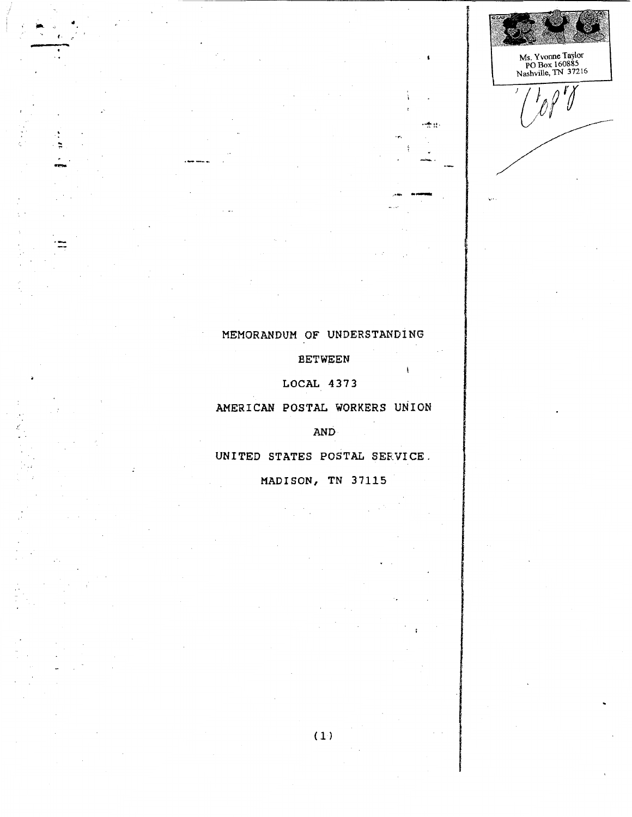Ms. Yvonne Taylor<br>PO Box 160885<br>Nashville, TN 37216  $\frac{r}{d}$ 

s.

entre se i

## MEMORANDUM OF UNDERSTANDING

**BETWEEN** 

LOCAL 4373

AMERICAN POSTAL WORKERS UNION

**AND** 

UNITED STATES POSTAL SERVICE.

MADISON, TN 37115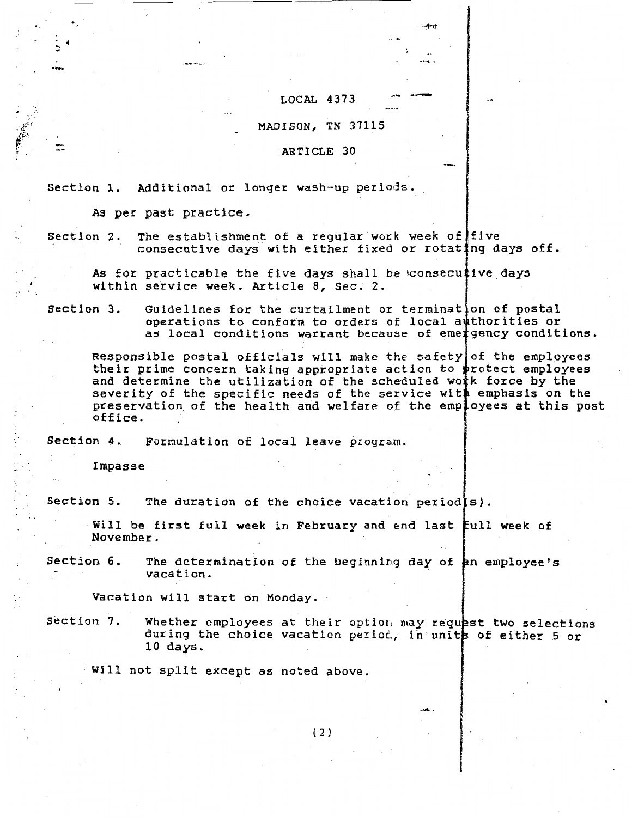$LOCAL$  4373

·'1~1'!

#### MADISON, TN 37115

ARTICLE 30

Section 1. Additional or longer wash-up periods.

As per past practice.

Section 2. The establishment of a regular work week of five consecutive days with either fixed or rotating days off.

As for pr act lcable the £ 1 ve days shal 1 be 1consecut 1 *ve* days within service week. Article 8, Sec. 2.

Section 3. Guidelines for the curtailment or termination of postal operations to conform to orders of local authorities or as local conditions warrant because of eme gency conditions.

Responsible postal officials will make the safety of the employees their prime concern taking appropriate action *to*  and determine the utilization of the scheduled wo severity of the specific needs of the service with emphasis on the preservation of the health and welfare of the employees at this post office. rotect employees k force by the

Section 4. Formulation of local leave program.

Impasse

..

.  $\frac{1}{2}$   $\frac{1}{2}$ 

......

'J·.~:.:'·'  $\mathbf{F}$  . ,,. '<br>.

Section 5. The duration of the choice vacation period(s).

Will be first full week in February and end last full week of November.

Section 6. The determination of the beginning day of  $~$  an employee's vacation.

Vacation will start on Monday.

Section 7. Whether employees at their option may request two selections during the choice vacation period, in units of either 5 or 10 da\_ys.

Will not split except as noted above.

 $\cdots$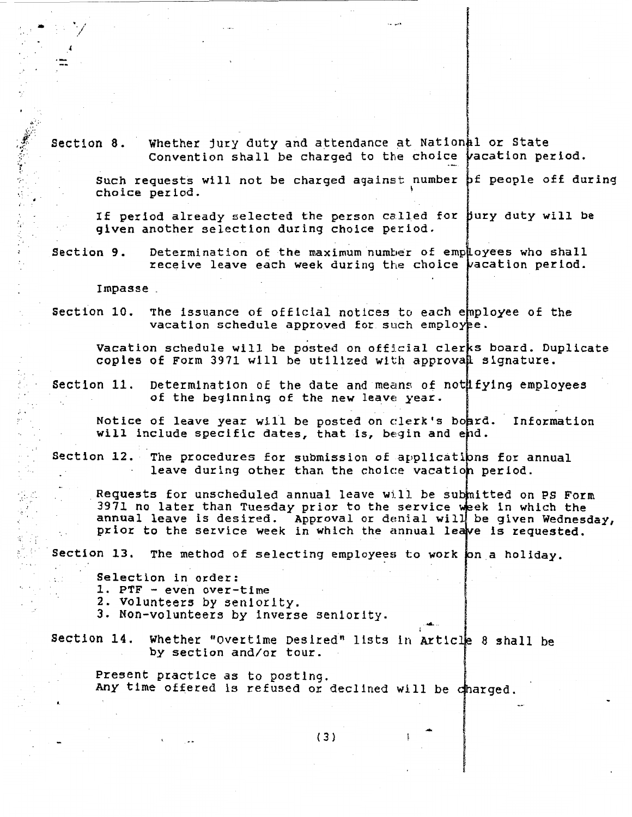Section 8. Whether jury duty and attendance at Nation#l or State Convention shall be charged to the choice vacation period.

Such requests will not be charged against number bf people off during choice period. 1

If period already selected the person called for jury duty will be <sup>g</sup>iven another selection during choice period.

Section 9. Determination of the maximum number of employees who shall receive leave each week during the choice wacation period.

Impasse .

 $\blacksquare$ /

·' ~1:

•

~r.

,·

:.· *.* .

 $x \in \mathbb{R}$ 

..

 $\Delta$  ,  $\Delta$ 

Section 10. The issuance of official notices to each employee of the vacation schedule approved for such employee.

Vacation schedule will be posted on official clerks board. Duplicate copies of Form 3971 will be utilized with approval signature.

Section 11. Determination of the date and means of not fying employees of the beginning of the new leave year.

Notice of leave year will be posted on clerk's boprd. Information will include specific dates, that is, begin and end.

Section 12. The procedures for submission of applications for annual leave during other than the choice vacation period.

Requests for unscheduled annual leave will be submitted on PS Form 3971 no later than Tuesday prior to the service week in which the annual leave is desired. Approval or denial will be given Wednesday, prior to the service week in which the annual leave is requested.

.... ..

Section 13. The method of selecting employees to work on a holiday.

Selection in order:

- 1. PTF even over-time
- 2. Volunteer5 by 5enlorlty.
- 3. Non-volunteers by inverse seniority.

Section 14. Whether "Overtime Desired" llsts in 8 shall be by section and/or tour.

Present practice as to poztlng. Any time offered is refused or declined will be charged.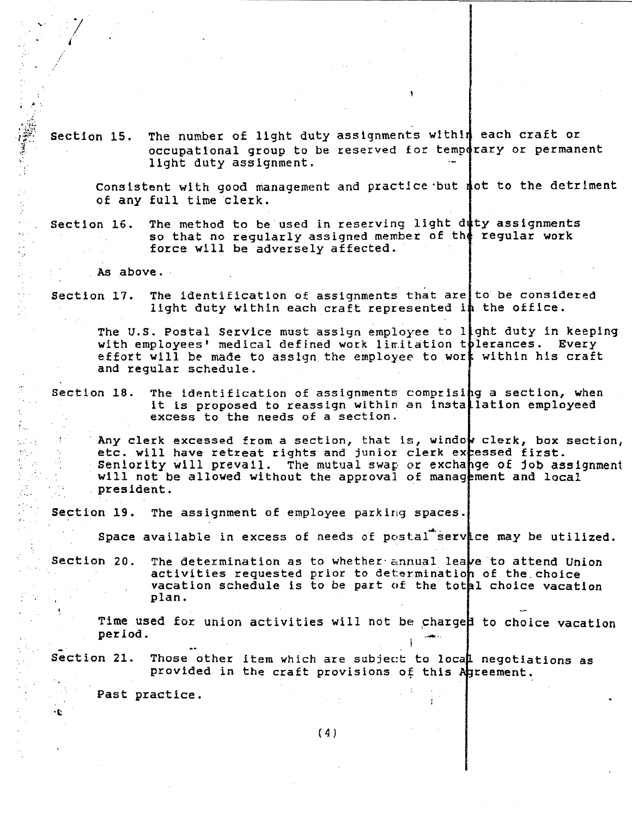$r_{\rm eff}^{\rm max}$  section 15. The number of light duty assignments within each craft or occupational group to be reserved for temp4rary or permanent light duty assignment.

> Consistent with good management and practice but  $\phi$  to the detriment of any full time clerk.

Section 16. The method to be used in reserving light duty assignments so that no regularly assigned member of the regular work force will be adversely affected.

As above.

 $\sim$   $\sim$   $\gamma$   $\sim$ l

.. .<br>. . . . .

*1.* 

·,,

 $\frac{1}{2}$  $\mathbf{r}$  $\varphi_{\vec{p}}$  . i<br>Se

> Section 17. The identification of assignments that are to be considered light duty within each craft represented in the office.

The U.S. Postal Service must assign employee to light duty in keeping with employees' medical defined work limitation tolerances. Every effort will be made to assign the employee to work within his craft and regular schedule.

Section 18. The identification of assignments comprising a section, when it is proposed to reassign within an installation employeed excess to the needs of a section.

Any clerk excessed from a section, that is, window clerk, box section, etc. will have retreat rights and junior clerk excessed first. Seniority will prevail. The mutual swap or exchange of job assignment will not be allowed without the approval of management and local president.

Section 19. The assignment of employee parking spaces.

Space available in excess of needs of postal service may be utilized.

Section 20. The determination as to whether annual leave to attend Union activities requested prior to determination of the choice vacation schedule is to be part of the total choice vacation plan.

Time used for union activities will not be charged to choice vacation period.

Section 21. Those other item which are subject to local negotiations as provided in the craft provisions of this Agreement.

Past practice.

·t

注文

gi.<br>Se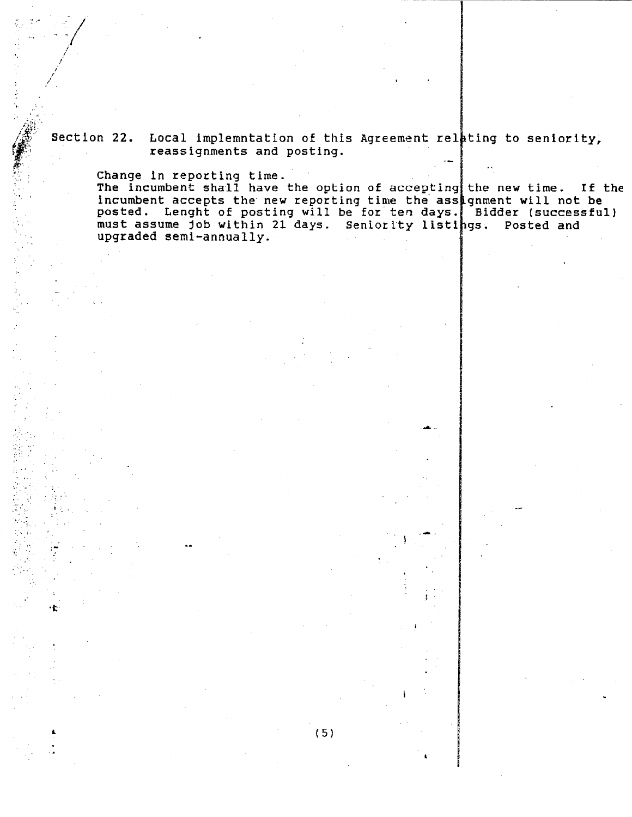Section 22. Local implemntation of this Agreement relating to seniority, reassignments and posting.

Change in reporting time.<br>The incumbent shall have the option of accepting the new time. If the incumbent accepts the new reporting time the assignment will not be<br>posted. Lenght of posting will be for ten days. Bidder (successful)<br>must assume job within 21 days. Seniority listings. Posted and upgraded semi-annually.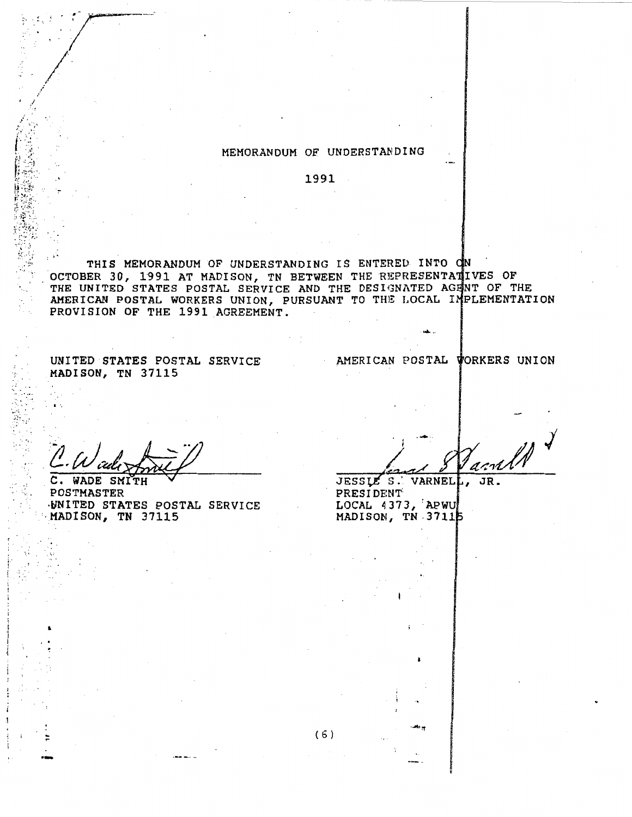#### MEMORANDUM OF UNDERSTANDING

1991

THIS MEMORANDUM OF UNDERSTANDING IS ENTERED INTO ON OCTOBER 30, 1991 AT MADISON, TN BETWEEN THE REPRESENTATIVES OF THE UNITED STATES POSTAL SERVICE AND THE DESIGNATED AGENT OF THE AMERICAN POSTAL WORKERS UNION, PURSUANT TO THE LOCAL IMPLEMENTATION PROVISION OF THE 1991 AGREEMENT.

UNITED STATES POSTAL SERVICE MADISON, TN 37115

AMERICAN POSTAL WORKERS UNION

SMITH Е POSTMASTER WNITED STATES POSTAL SERVICE MADISON, TN 37115

arnt

JESSLE S. VARNELL, JR. PRESIDENT LOCAL 4373, APWU MADISON, TN 37115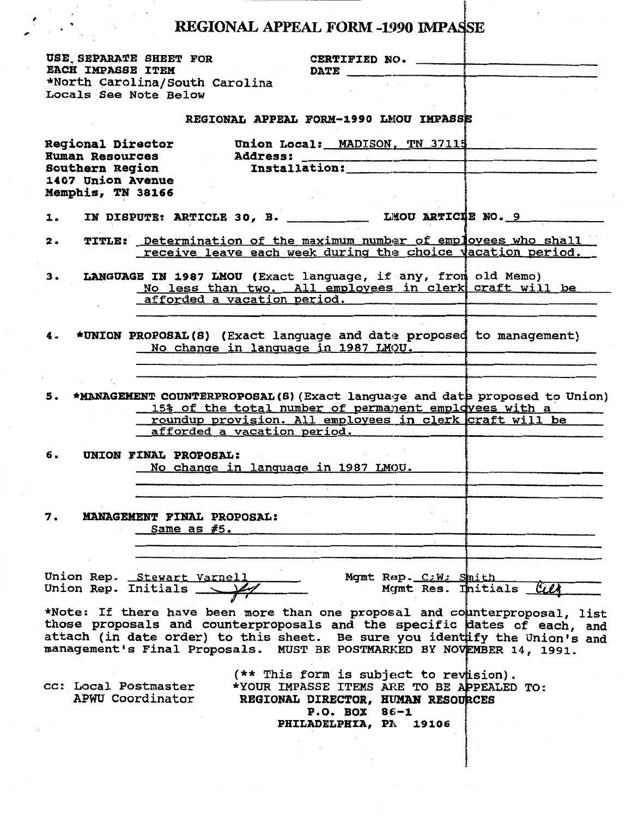# REGIONAL APPEAL FORM -1990 IMPASSE

| USE SEPARATE SHEET FOR<br>EACH IMPASSE ITEM                                                                            |                                                                                                                                                                                                                                                                                                                |                                        | CERTIFIED NO.<br><b>DATE</b>                                                                                            |                      |                                                         |  |
|------------------------------------------------------------------------------------------------------------------------|----------------------------------------------------------------------------------------------------------------------------------------------------------------------------------------------------------------------------------------------------------------------------------------------------------------|----------------------------------------|-------------------------------------------------------------------------------------------------------------------------|----------------------|---------------------------------------------------------|--|
| Locals See Note Below                                                                                                  | *North Carolina/South Carolina                                                                                                                                                                                                                                                                                 |                                        |                                                                                                                         |                      |                                                         |  |
|                                                                                                                        |                                                                                                                                                                                                                                                                                                                | REGIONAL APPEAL FORM-1990 LMOU IMPASSE |                                                                                                                         |                      |                                                         |  |
| <b>Regional Director</b><br><b>Human Resources</b><br><b>Southern Region</b><br>1407 Union Avenue<br>Memphis, TN 38166 |                                                                                                                                                                                                                                                                                                                |                                        | Union Local: MADISON, TN 37115                                                                                          |                      |                                                         |  |
| 1.                                                                                                                     | IN DISPUTE: ARTICLE 30, B. LEOU ARTICLE NO. 9                                                                                                                                                                                                                                                                  |                                        |                                                                                                                         |                      |                                                         |  |
| 2.                                                                                                                     | TITLE: Determination of the maximum number of employees who shall<br>receive leave each week during the choice vacation period.                                                                                                                                                                                |                                        |                                                                                                                         |                      |                                                         |  |
| 3.                                                                                                                     | LANGUAGE IN 1987 LMOU (Exact language, if any, from old Memo)<br>No less than two. All employees in clerk craft will be<br>afforded a vacation period.                                                                                                                                                         |                                        |                                                                                                                         |                      |                                                         |  |
| 4.                                                                                                                     | *UNION PROPOSAL(S) (Exact language and date proposed to management)                                                                                                                                                                                                                                            | No change in language in 1987 LMOU.    |                                                                                                                         |                      |                                                         |  |
| 5.                                                                                                                     | *MANAGEMENT COUNTERPROPOSAL(S) (Exact language and date proposed to Union)<br>15% of the total number of permanent employees with a                                                                                                                                                                            | afforded a vacation period.            |                                                                                                                         |                      | roundup provision. All employees in clerk craft will be |  |
| 6.                                                                                                                     | UNION FINAL PROPOSAL:                                                                                                                                                                                                                                                                                          | No change in language in 1987 LMOU.    |                                                                                                                         |                      |                                                         |  |
| 7.                                                                                                                     | <b>MANAGEMENT FINAL PROPOSAL:</b><br>$Same$ as $#5.$                                                                                                                                                                                                                                                           |                                        |                                                                                                                         |                      |                                                         |  |
| Union Rep. Initials __                                                                                                 | Union Rep. Stewart Varnell                                                                                                                                                                                                                                                                                     |                                        |                                                                                                                         | Mgmt Rep. C:W: Shith | Mgmt Res. Initials                                      |  |
|                                                                                                                        | *Note: If there have been more than one proposal and counterproposal, list<br>those proposals and counterproposals and the specific dates of each, and<br>attach (in date order) to this sheet. Be sure you identify the Union's and<br>management's Final Proposals. MUST BE POSTMARKED BY NOVEMBER 14, 1991. |                                        |                                                                                                                         |                      |                                                         |  |
| cc: Local Postmaster                                                                                                   | APWU Coordinator                                                                                                                                                                                                                                                                                               |                                        | (** This form is subject to revision).<br>REGIONAL DIRECTOR, HUMAN RESOURCES<br>P.O. BOX 86-1<br>PHILADELPHIA, PA 19106 |                      | *YOUR IMPASSE ITEMS ARE TO BE APPEALED TO:              |  |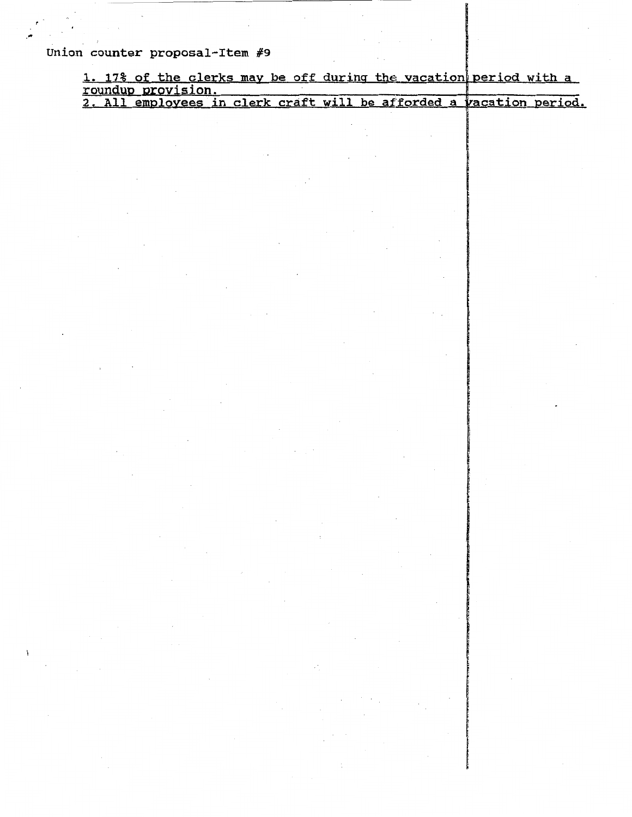Union counter proposal-Item *#9* 

' ·"'

|                    |  |  |  |  |  |  | 1. 17% of the clerks may be off during the vacation period with a |                                                                     |
|--------------------|--|--|--|--|--|--|-------------------------------------------------------------------|---------------------------------------------------------------------|
| roundup provision. |  |  |  |  |  |  |                                                                   |                                                                     |
|                    |  |  |  |  |  |  |                                                                   | 2. All employees in clerk craft will be afforded a vacation period. |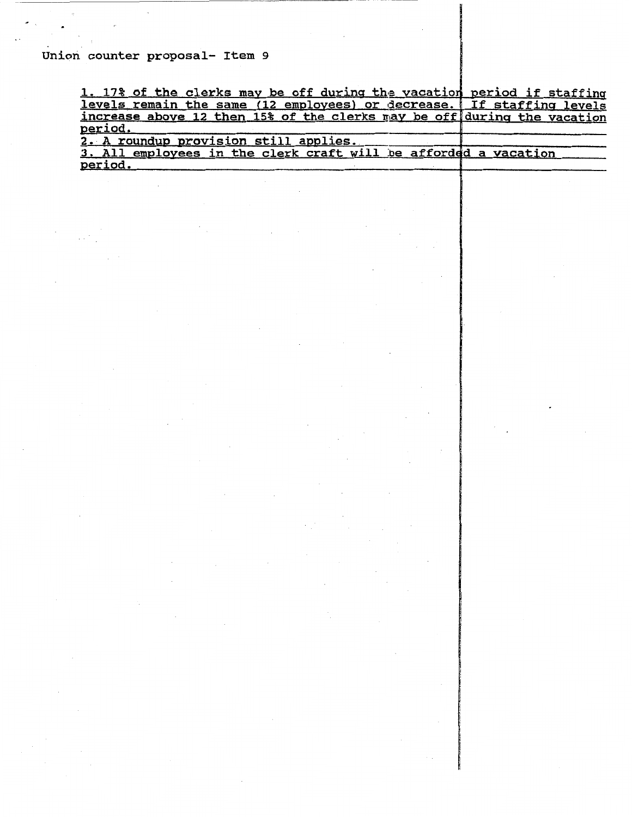### Union counter proposal- Item 9

 $\bullet$ 

| 1. 17% of the clerks may be off during the vacation period if staffing  |  |
|-------------------------------------------------------------------------|--|
| levels remain the same (12 employees) or decrease. If staffing levels   |  |
| increase above 12 then 15% of the clerks may be off during the vacation |  |
| period.                                                                 |  |
| 2. A roundup provision still applies.                                   |  |
| 3. All employees in the clerk craft will be afforded a vacation         |  |
| period.                                                                 |  |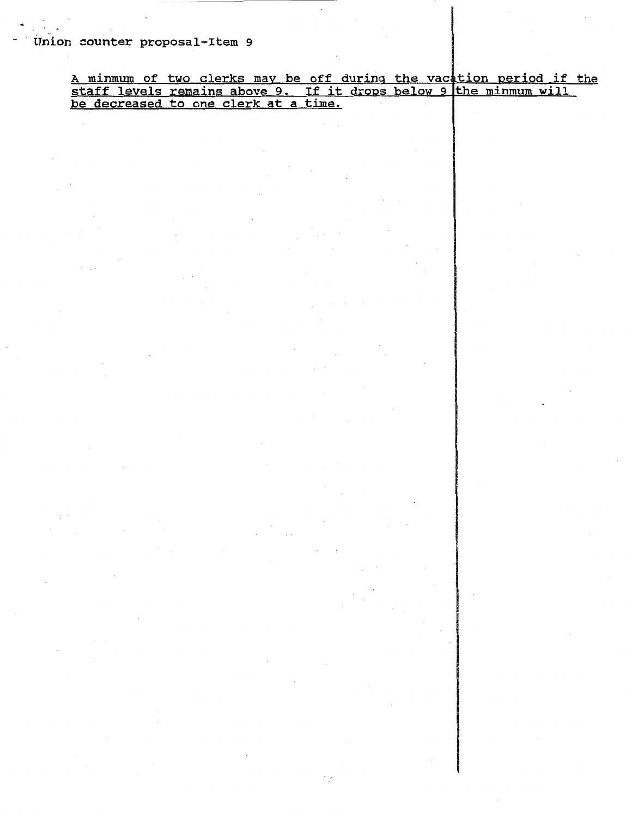Union counter proposal-Item 9

·'

<u>A minmum of two clerks may be off during the vacation period if the</u> staff levels remains above 9. If it drops below 9 the minmum will be decreased to one clerk at a time.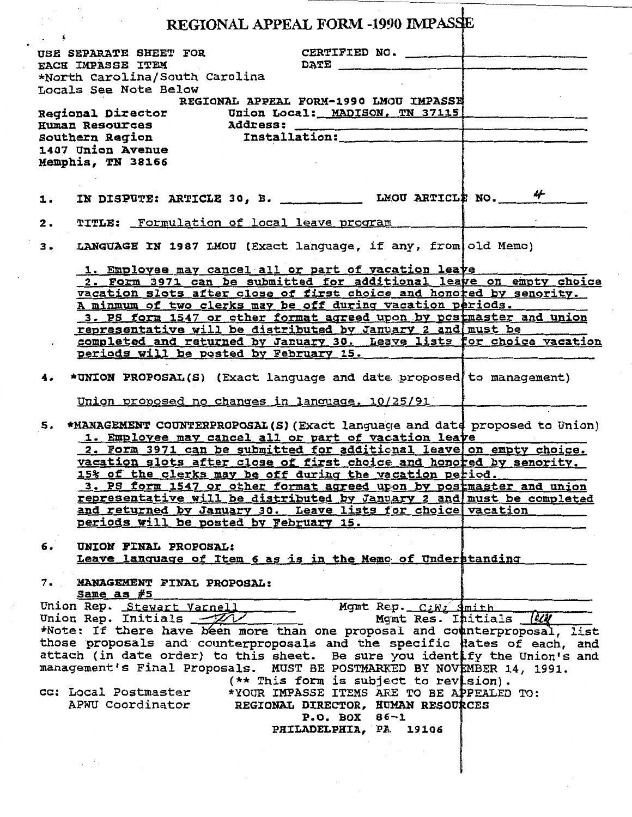|    |                                                                                                     |                                | REGIONAL APPEAL FORM -1990 IMPASSE                                                                                                                                                                                                                                           |                      |                                                                                                                                                                                                                                                                                                                                                                          |
|----|-----------------------------------------------------------------------------------------------------|--------------------------------|------------------------------------------------------------------------------------------------------------------------------------------------------------------------------------------------------------------------------------------------------------------------------|----------------------|--------------------------------------------------------------------------------------------------------------------------------------------------------------------------------------------------------------------------------------------------------------------------------------------------------------------------------------------------------------------------|
|    | EACH IMPASSE ITEM                                                                                   |                                | USE SEPARATE SHEET FOR THE CERTIFIED NO.<br><b>DATE</b>                                                                                                                                                                                                                      |                      |                                                                                                                                                                                                                                                                                                                                                                          |
|    | Locals See Note Below                                                                               | *North Carolina/South Carolina |                                                                                                                                                                                                                                                                              |                      |                                                                                                                                                                                                                                                                                                                                                                          |
|    |                                                                                                     |                                | REGIONAL APPEAL FORM-1990 LMOU IMPASSE<br>Regional Director Union Local: MADISON, TN 37115<br>Human Resources Address:<br>Southern Region Installation: 1407 Union Avenue                                                                                                    |                      |                                                                                                                                                                                                                                                                                                                                                                          |
|    | Memphis, TN 38166                                                                                   |                                |                                                                                                                                                                                                                                                                              |                      |                                                                                                                                                                                                                                                                                                                                                                          |
| 1. |                                                                                                     |                                |                                                                                                                                                                                                                                                                              |                      |                                                                                                                                                                                                                                                                                                                                                                          |
| 2. |                                                                                                     |                                | TITLE: Formulation of local leave program                                                                                                                                                                                                                                    |                      |                                                                                                                                                                                                                                                                                                                                                                          |
| з. |                                                                                                     |                                | LANGUAGE IN 1987 LMOU (Exact language, if any, from old Memo)                                                                                                                                                                                                                |                      |                                                                                                                                                                                                                                                                                                                                                                          |
|    |                                                                                                     |                                | 1. Employee may cancel all or part of vacation leave<br>A minmum of two clerks may be off during vacation periods.<br>representative will be distributed by January 2 and must be                                                                                            |                      | 2. Form 3971 can be submitted for additional leave on empty choice<br>vacation slots after close of first choice and honored by senority.<br>3. PS form 1547 or other format agreed upon by postmaster and union<br>completed and returned by January 30. Leave lists for choice vacation                                                                                |
|    |                                                                                                     |                                | periods will be posted by February 15.                                                                                                                                                                                                                                       |                      |                                                                                                                                                                                                                                                                                                                                                                          |
|    |                                                                                                     |                                | *UNION PROPOSAL(S) (Exact language and date proposed to management)                                                                                                                                                                                                          |                      |                                                                                                                                                                                                                                                                                                                                                                          |
| 5. |                                                                                                     |                                | Union proposed no changes in language. 10/25/91<br>1. Employee may cancel all or part of vacation leave<br>15% of the clerks may be off during the vacation period.<br>and returned by January 30. Leave lists for choice vacation<br>periods will be posted by February 15. |                      | *MANAGEMENT COUNTERPROPOSAL(S) (Exact language and date proposed to Union)<br>2. Form 3971 can be submitted for additional leave on empty choice.<br>vacation slots after close of first choice and honored by senority.<br>3. PS form 1547 or other format agreed upon by postmaster and union<br>representative will be distributed by January 2 and must be completed |
| б. | UNION FINAL PROPOSAL:                                                                               |                                | Leave language of Item 6 as is in the Memo of Understanding                                                                                                                                                                                                                  |                      |                                                                                                                                                                                                                                                                                                                                                                          |
| 7. | Same as $#5$                                                                                        | MANAGEMENT FINAL PROPOSAL:     |                                                                                                                                                                                                                                                                              |                      |                                                                                                                                                                                                                                                                                                                                                                          |
|    | Union Rep. Stewart Varnell<br>Union Rep. Initials $-77$<br>cc: Local Postmaster<br>APWU Coordinator |                                | management's Final Proposals. MUST BE POSTMARKED BY NOVEMBER 14, 1991.<br>(** This form is subject to revision).<br>*YOUR IMPASSE ITEMS ARE TO BE APPEALED TO:<br>REGIONAL DIRECTOR, HUMAN RESOURCES<br>$P. O. BOX 86-1$<br>PHILADELPHIA, PA. 19106                          | Mgmt Rep. C:W: Smith | Momt Res. Initials (OU<br>*Note: If there have been more than one proposal and counterproposal, list<br>those proposals and counterproposals and the specific dates of each, and<br>attach (in date order) to this sheet. Be sure you identify the Union's and                                                                                                           |
|    |                                                                                                     |                                |                                                                                                                                                                                                                                                                              |                      |                                                                                                                                                                                                                                                                                                                                                                          |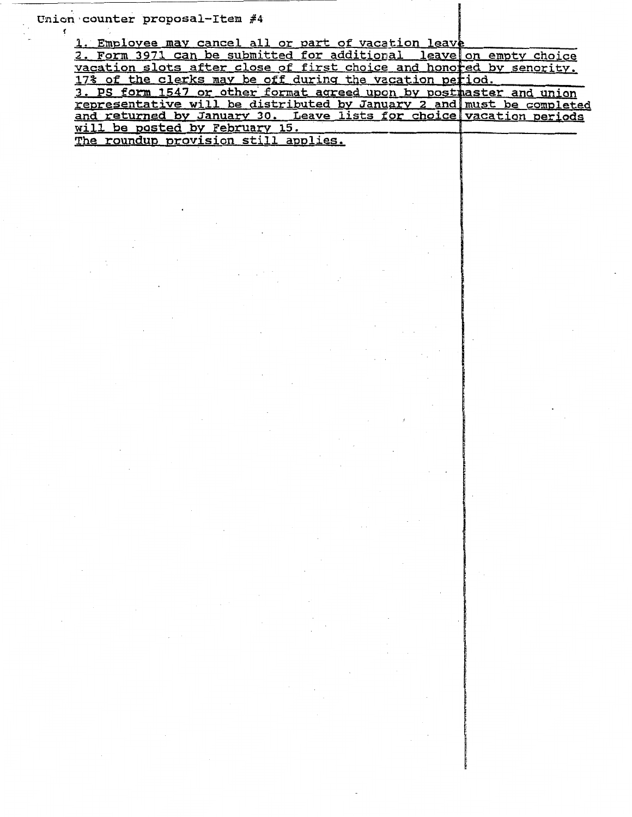Union counter proposal-Item  $#4$ 

~~~~~~~~~ .•. ~~~~~~~~~~~~~~~~

f

1. Employee may cancel all or part of vacation leave

| 2. Form 3971 can be submitted for additional leave on empty choice    |  |
|-----------------------------------------------------------------------|--|
| vacation slots after close of first choice and honored by senority.   |  |
| 17% of the clerks may be off during the vacation period.              |  |
| 3. PS form 1547 or other format agreed upon by postmaster and union   |  |
| representative will be distributed by January 2 and must be completed |  |
| and returned by January 30. Leave lists for choice vacation periods   |  |
| will be posted by February 15.                                        |  |
| The roundup provision still applies.                                  |  |

~ "